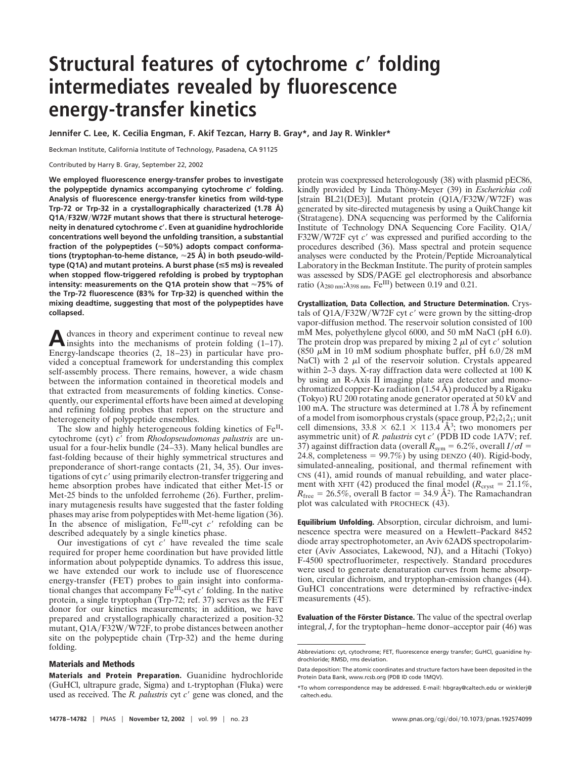## **Structural features of cytochrome <sup>c</sup> folding intermediates revealed by fluorescence energy-transfer kinetics**

**Jennifer C. Lee, K. Cecilia Engman, F. Akif Tezcan, Harry B. Gray\*, and Jay R. Winkler\***

Beckman Institute, California Institute of Technology, Pasadena, CA 91125

Contributed by Harry B. Gray, September 22, 2002

**We employed fluorescence energy-transfer probes to investigate the polypeptide dynamics accompanying cytochrome** *c* **folding. Analysis of fluorescence energy-transfer kinetics from wild-type Trp-72 or Trp-32 in a crystallographically characterized (1.78 Å) Q1AF32WW72F mutant shows that there is structural heterogeneity in denatured cytochrome** *c***. Even at guanidine hydrochloride concentrations well beyond the unfolding transition, a substantial fraction of the polypeptides (50%) adopts compact conformations (tryptophan-to-heme distance, 25 Å) in both pseudo-wildtype (Q1A) and mutant proteins. A burst phase (**<**5 ms) is revealed when stopped flow-triggered refolding is probed by tryptophan intensity: measurements on the Q1A protein show that 75% of the Trp-72 fluorescence (83% for Trp-32) is quenched within the mixing deadtime, suggesting that most of the polypeptides have collapsed.**

A dvances in theory and experiment continue to reveal new<br>insights into the mechanisms of protein folding (1–17). Energy-landscape theories (2, 18–23) in particular have provided a conceptual framework for understanding this complex self-assembly process. There remains, however, a wide chasm between the information contained in theoretical models and that extracted from measurements of folding kinetics. Consequently, our experimental efforts have been aimed at developing and refining folding probes that report on the structure and heterogeneity of polypeptide ensembles.

The slow and highly heterogeneous folding kinetics of Fe<sup>II</sup>cytochrome (cyt) *c*- from *Rhodopseudomonas palustris* are unusual for a four-helix bundle (24–33). Many helical bundles are fast-folding because of their highly symmetrical structures and preponderance of short-range contacts (21, 34, 35). Our investigations of cyt c' using primarily electron-transfer triggering and heme absorption probes have indicated that either Met-15 or Met-25 binds to the unfolded ferroheme (26). Further, preliminary mutagenesis results have suggested that the faster folding phases may arise from polypeptides with Met-heme ligation (36). In the absence of misligation,  $Fe^{III}$ -cyt  $c'$  refolding can be described adequately by a single kinetics phase.

Our investigations of cyt c' have revealed the time scale required for proper heme coordination but have provided little information about polypeptide dynamics. To address this issue, we have extended our work to include use of fluorescence energy-transfer (FET) probes to gain insight into conformational changes that accompany Fe<sup>III</sup>-cyt c' folding. In the native protein, a single tryptophan (Trp-72; ref. 37) serves as the FET donor for our kinetics measurements; in addition, we have prepared and crystallographically characterized a position-32 mutant, Q1A/F32W/W72F, to probe distances between another site on the polypeptide chain (Trp-32) and the heme during folding.

## **Materials and Methods**

**Materials and Protein Preparation.** Guanidine hydrochloride (GuHCl, ultrapure grade, Sigma) and L-tryptophan (Fluka) were used as received. The *R. palustris* cyt *c*' gene was cloned, and the

protein was coexpressed heterologously (38) with plasmid pEC86, kindly provided by Linda Thöny-Meyer (39) in *Escherichia coli* [strain BL21(DE3)]. Mutant protein (Q1A/F32W/W72F) was generated by site-directed mutagenesis by using a QuikChange kit (Stratagene). DNA sequencing was performed by the California Institute of Technology DNA Sequencing Core Facility. Q1A F32W/W72F cyt c' was expressed and purified according to the procedures described (36). Mass spectral and protein sequence analyses were conducted by the Protein/Peptide Microanalytical Laboratory in the Beckman Institute. The purity of protein samples was assessed by SDS/PAGE gel electrophoresis and absorbance ratio ( $\lambda_{280 \text{ nm}}$ : $\lambda_{398 \text{ nm}}$ , Fe<sup>III</sup>) between 0.19 and 0.21.

**Crystallization, Data Collection, and Structure Determination.** Crystals of Q1A/F32W/W72F cyt *c*' were grown by the sitting-drop vapor-diffusion method. The reservoir solution consisted of 100 mM Mes, polyethylene glycol 6000, and 50 mM NaCl (pH 6.0). The protein drop was prepared by mixing  $2 \mu$ l of cyt *c*' solution (850  $\mu$ M in 10 mM sodium phosphate buffer, pH 6.0/28 mM NaCl) with 2  $\mu$ l of the reservoir solution. Crystals appeared within 2–3 days. X-ray diffraction data were collected at 100 K by using an R-Axis II imaging plate area detector and monochromatized copper-K $\alpha$  radiation (1.54 Å) produced by a Rigaku (Tokyo) RU 200 rotating anode generator operated at 50 kV and 100 mA. The structure was determined at 1.78 Å by refinement of a model from isomorphous crystals (space group,  $P2_12_12_1$ ; unit cell dimensions,  $33.8 \times 62.1 \times 113.4$  Å<sup>3</sup>; two monomers per asymmetric unit) of *R. palustris* cyt  $c'$  (PDB ID code 1A7V; ref. 37) against diffraction data (overall  $R_{sym} = 6.2\%$ , overall  $I/\sigma I =$ 24.8, completeness =  $99.7\%$ ) by using DENZO (40). Rigid-body, simulated-annealing, positional, and thermal refinement with CNS (41), amid rounds of manual rebuilding, and water placement with XFIT (42) produced the final model ( $R_{\text{cryst}} = 21.1\%$ ,  $R_{\text{free}} = 26.5\%$ , overall B factor = 34.9 Å<sup>2</sup>). The Ramachandran plot was calculated with PROCHECK (43).

**Equilibrium Unfolding.** Absorption, circular dichroism, and luminescence spectra were measured on a Hewlett–Packard 8452 diode array spectrophotometer, an Aviv 62ADS spectropolarimeter (Aviv Associates, Lakewood, NJ), and a Hitachi (Tokyo) F-4500 spectrofluorimeter, respectively. Standard procedures were used to generate denaturation curves from heme absorption, circular dichroism, and tryptophan-emission changes (44). GuHCl concentrations were determined by refractive-index measurements (45).

**Evaluation of the Förster Distance.** The value of the spectral overlap integral, *J*, for the tryptophan–heme donor–acceptor pair (46) was

Abbreviations: cyt, cytochrome; FET, fluorescence energy transfer; GuHCl, guanidine hydrochloride; RMSD, rms deviation.

Data deposition: The atomic coordinates and structure factors have been deposited in the Protein Data Bank, www.rcsb.org (PDB ID code 1MQV).

<sup>\*</sup>To whom correspondence may be addressed. E-mail: hbgray@caltech.edu or winklerj@ caltech.edu.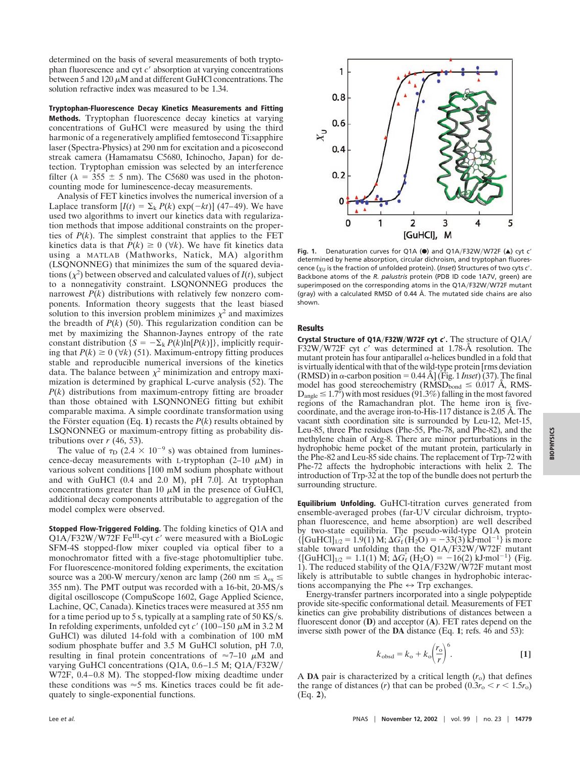determined on the basis of several measurements of both tryptophan fluorescence and cyt *c*' absorption at varying concentrations between 5 and 120  $\mu$ M and at different GuHCl concentrations. The solution refractive index was measured to be 1.34.

**Tryptophan-Fluorescence Decay Kinetics Measurements and Fitting Methods.** Tryptophan fluorescence decay kinetics at varying concentrations of GuHCl were measured by using the third harmonic of a regeneratively amplified femtosecond Ti:sapphire laser (Spectra-Physics) at 290 nm for excitation and a picosecond streak camera (Hamamatsu C5680, Ichinocho, Japan) for detection. Tryptophan emission was selected by an interference filter ( $\lambda = 355 \pm 5$  nm). The C5680 was used in the photoncounting mode for luminescence-decay measurements.

Analysis of FET kinetics involves the numerical inversion of a Laplace transform  $[I(t) = \sum_k P(k) \exp(-kt)]$  (47–49). We have used two algorithms to invert our kinetics data with regularization methods that impose additional constraints on the properties of  $P(k)$ . The simplest constraint that applies to the FET kinetics data is that  $P(k) \ge 0$  ( $\forall k$ ). We have fit kinetics data using a MATLAB (Mathworks, Natick, MA) algorithm (LSQNONNEG) that minimizes the sum of the squared deviations  $(\chi^2)$  between observed and calculated values of  $I(t)$ , subject to a nonnegativity constraint. LSQNONNEG produces the narrowest  $P(k)$  distributions with relatively few nonzero components. Information theory suggests that the least biased solution to this inversion problem minimizes  $\chi^2$  and maximizes the breadth of  $P(k)$  (50). This regularization condition can be met by maximizing the Shannon-Jaynes entropy of the rate constant distribution  ${S = -\Sigma_k P(k) \ln[P(k)]},$  implicitly requiring that  $P(k) \ge 0$  ( $\forall k$ ) (51). Maximum-entropy fitting produces stable and reproducible numerical inversions of the kinetics data. The balance between  $\chi^2$  minimization and entropy maximization is determined by graphical L-curve analysis (52). The *P*(*k*) distributions from maximum-entropy fitting are broader than those obtained with LSQNNONEG fitting but exhibit comparable maxima. A simple coordinate transformation using the Förster equation (Eq. 1) recasts the  $P(k)$  results obtained by LSQNONNEG or maximum-entropy fitting as probability distributions over  $r$  (46, 53).

The value of  $\tau_D$  (2.4  $\times$  10<sup>-9</sup> s) was obtained from luminescence-decay measurements with L-tryptophan  $(2-10 \mu M)$  in various solvent conditions [100 mM sodium phosphate without and with GuHCl (0.4 and 2.0 M), pH 7.0]. At tryptophan concentrations greater than 10  $\mu$ M in the presence of GuHCl, additional decay components attributable to aggregation of the model complex were observed.

**Stopped Flow-Triggered Folding.** The folding kinetics of Q1A and Q1A/F32W/W72F Fe<sup>III</sup>-cyt c' were measured with a BioLogic SFM-4S stopped-flow mixer coupled via optical fiber to a monochromator fitted with a five-stage photomultiplier tube. For fluorescence-monitored folding experiments, the excitation source was a 200-W mercury/xenon arc lamp (260 nm  $\leq \lambda_{ex} \leq$ 355 nm). The PMT output was recorded with a  $16$ -bit,  $20$ -MS/s digital oscilloscope (CompuScope 1602, Gage Applied Science, Lachine, QC, Canada). Kinetics traces were measured at 355 nm for a time period up to 5 s, typically at a sampling rate of  $50$  KS/s. In refolding experiments, unfolded cyt  $c'$  (100–150  $\mu$ M in 3.2 M GuHCl) was diluted 14-fold with a combination of 100 mM sodium phosphate buffer and 3.5 M GuHCl solution, pH 7.0, resulting in final protein concentrations of  $\approx$ 7–10  $\mu$ M and varying GuHCl concentrations  $(Q1A, 0.6-1.5 M; Q1A/F32W)$ W72F, 0.4–0.8 M). The stopped-flow mixing deadtime under these conditions was  $\approx$  5 ms. Kinetics traces could be fit adequately to single-exponential functions.



Fig. 1. Denaturation curves for Q1A (<sup>o</sup>) and Q1A/F32W/W72F ( $\triangle$ ) cyt *c'* determined by heme absorption, circular dichroism, and tryptophan fluorescence ( $\chi_\mathsf{U}$  is the fraction of unfolded protein). (*Inset*) Structures of two cyts  $\mathsf{c}'$  . Backbone atoms of the *R. palustris* protein (PDB ID code 1A7V, green) are superimposed on the corresponding atoms in the Q1A/F32W/W72F mutant (gray) with a calculated RMSD of 0.44 Å. The mutated side chains are also shown.

## **Results**

**Crystal Structure of Q1AF32WW72F cyt <sup>c</sup>.** The structure of Q1A F32W/W72F cyt c' was determined at 1.78-Å resolution. The mutant protein has four antiparallel  $\alpha$ -helices bundled in a fold that is virtually identical with that of the wild-type protein [rms deviation (RMSD) in  $\alpha$ -carbon position = 0.44 Å] (Fig. 1 *Inset*) (37). The final model has good stereochemistry ( $\angle$ MSD<sub>bond</sub>  $\leq$  0.017 Å, RMS- $D_{angle} \le 1.7^{\circ}$ ) with most residues (91.3%) falling in the most favored regions of the Ramachandran plot. The heme iron is fivecoordinate, and the average iron-to-His-117 distance is 2.05 Å. The vacant sixth coordination site is surrounded by Leu-12, Met-15, Leu-85, three Phe residues (Phe-55, Phe-78, and Phe-82), and the methylene chain of Arg-8. There are minor perturbations in the hydrophobic heme pocket of the mutant protein, particularly in the Phe-82 and Leu-85 side chains. The replacement of Trp-72 with Phe-72 affects the hydrophobic interactions with helix 2. The introduction of Trp-32 at the top of the bundle does not perturb the surrounding structure.

**Equilibrium Unfolding.** GuHCl-titration curves generated from ensemble-averaged probes (far-UV circular dichroism, tryptophan fluorescence, and heme absorption) are well described by two-state equilibria. The pseudo-wild-type Q1A protein  $\{ [\text{GuHCl}]_{1/2} = 1.9(1) \text{ M}; \Delta G_{\text{f}}(\text{H}_{2}\text{O}) = -33(3) \text{ kJ} \text{ mol}^{-1} \} \text{ is more}$ stable toward unfolding than the Q1A/F32W/W72F mutant  $\{[\text{GuHCl}]_{1/2} = 1.1(1) \text{ M}; \Delta G_{\text{f}}^{\circ}(\text{H}_2\text{O}) = -16(2) \text{ kJ} \text{ mol}^{-1} \}$  (Fig. 1). The reduced stability of the Q1A/F32W/W72F mutant most likely is attributable to subtle changes in hydrophobic interactions accompanying the Phe  $\leftrightarrow$  Trp exchanges.

Energy-transfer partners incorporated into a single polypeptide provide site-specific conformational detail. Measurements of FET kinetics can give probability distributions of distances between a fluorescent donor (**D**) and acceptor (**A**). FET rates depend on the inverse sixth power of the **DA** distance (Eq. **1**; refs. 46 and 53):

$$
k_{\text{obsd}} = k_{\text{o}} + k_{\text{o}} \left(\frac{r_{\text{o}}}{r}\right)^6.
$$
 [1]

A **DA** pair is characterized by a critical length  $(r_0)$  that defines the range of distances (*r*) that can be probed  $(0.3r_0 < r < 1.5r_0)$ (Eq. **2**),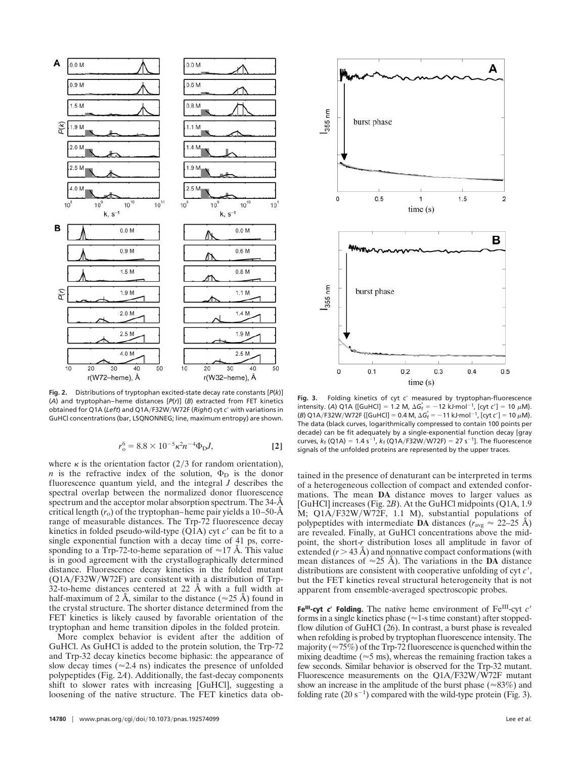

**Fig. 2.** Distributions of tryptophan excited-state decay rate constants [*P*(*k*)] (*A*) and tryptophan–heme distances [*P*(*r*)] (*B*) extracted from FET kinetics obtained for Q1A (Left) and Q1A/F32W/W72F (*Right*) cyt c' with variations in GuHCl concentrations (bar, LSQNONNEG; line, maximum entropy) are shown.

$$
r_o^6 = 8.8 \times 10^{-5} \kappa^2 n^{-4} \Phi_{\rm D} J, \tag{2}
$$

where  $\kappa$  is the orientation factor (2/3 for random orientation), *n* is the refractive index of the solution,  $\Phi_D$  is the donor fluorescence quantum yield, and the integral *J* describes the spectral overlap between the normalized donor fluorescence spectrum and the acceptor molar absorption spectrum. The 34-Å critical length  $(r_0)$  of the tryptophan–heme pair yields a 10–50- $\AA$ range of measurable distances. The Trp-72 fluorescence decay kinetics in folded pseudo-wild-type (Q1A) cyt *c'* can be fit to a single exponential function with a decay time of 41 ps, corresponding to a Trp-72-to-heme separation of  $\approx$ 17 Å. This value is in good agreement with the crystallographically determined distance. Fluorescence decay kinetics in the folded mutant  $(Q1A/F32W/W72F)$  are consistent with a distribution of Trp-32-to-heme distances centered at 22 Å with a full width at half-maximum of 2 Å, similar to the distance ( $\approx$ 25 Å) found in the crystal structure. The shorter distance determined from the FET kinetics is likely caused by favorable orientation of the tryptophan and heme transition dipoles in the folded protein.

More complex behavior is evident after the addition of GuHCl. As GuHCl is added to the protein solution, the Trp-72 and Trp-32 decay kinetics become biphasic: the appearance of slow decay times ( $\approx$  2.4 ns) indicates the presence of unfolded polypeptides (Fig. 2*A*). Additionally, the fast-decay components shift to slower rates with increasing [GuHCl], suggesting a loosening of the native structure. The FET kinetics data ob-



**Fig. 3.** Folding kinetics of cyt *c*- measured by tryptophan-fluorescence intensity. (A) Q1A {[GuHCl] = 1.2 M,  $\Delta G_f^{\circ} = -12$  kJ·mol<sup>-1</sup>, [cyt *c'*] = 10  $\mu$ M}. (*B*) Q1A/F32W/W72F {[GuHCl] = 0.4 M,  $\Delta G_f^{\circ} = -11$  kJ·mol<sup>-1</sup>, [cyt c'] = 10  $\mu$ M}. The data (black curves, logarithmically compressed to contain 100 points per decade) can be fit adequately by a single-exponential function decay [gray curves,  $k_f$  (Q1A) = 1.4 s<sup>-1</sup>,  $k_f$  (Q1A/F32W/W72F) = 27 s<sup>-1</sup>]. The fluorescence signals of the unfolded proteins are represented by the upper traces.

tained in the presence of denaturant can be interpreted in terms of a heterogeneous collection of compact and extended conformations. The mean **DA** distance moves to larger values as [GuHCl] increases (Fig. 2*B*). At the GuHCl midpoints (Q1A, 1.9 M; Q1A/F32W/W72F, 1.1 M), substantial populations of polypeptides with intermediate **DA** distances ( $r_{\text{avg}} \approx 22{\text -}25$  Å) are revealed. Finally, at GuHCl concentrations above the midpoint, the short-*r* distribution loses all amplitude in favor of extended  $(r > 43 \text{ Å})$  and nonnative compact conformations (with mean distances of  $\approx$ 25 Å). The variations in the **DA** distance distributions are consistent with cooperative unfolding of cyt *c'*, but the FET kinetics reveal structural heterogeneity that is not apparent from ensemble-averaged spectroscopic probes.

Fe<sup>III</sup>-cyt  $c'$  Folding. The native heme environment of Fe<sup>III</sup>-cyt  $c'$ forms in a single kinetics phase ( $\approx$ 1-s time constant) after stoppedflow dilution of GuHCl (26). In contrast, a burst phase is revealed when refolding is probed by tryptophan fluorescence intensity. The majority ( $\approx$  75%) of the Trp-72 fluorescence is quenched within the mixing deadtime ( $\approx$ 5 ms), whereas the remaining fraction takes a few seconds. Similar behavior is observed for the Trp-32 mutant. Fluorescence measurements on the Q1A/F32W/W72F mutant show an increase in the amplitude of the burst phase ( $\approx 83\%$ ) and folding rate  $(20 s^{-1})$  compared with the wild-type protein (Fig. 3).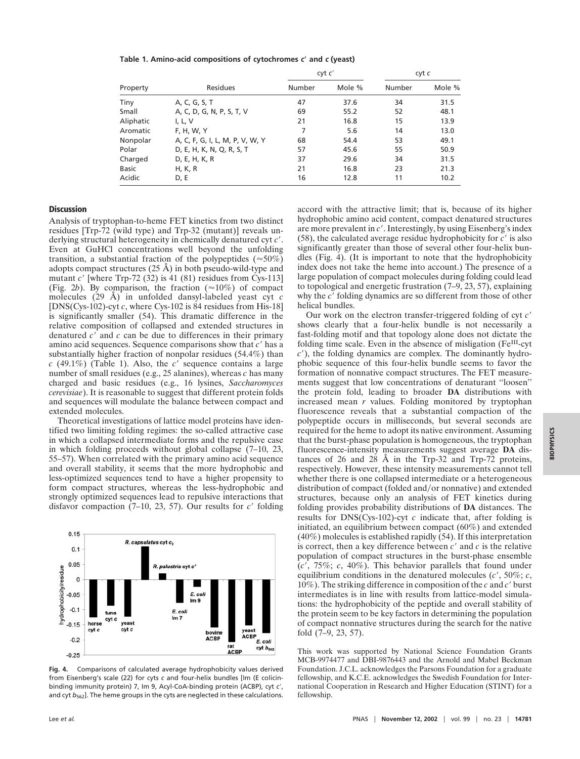**Table 1. Amino-acid compositions of cytochromes** *c* **and** *c* **(yeast)**

| Property     | <b>Residues</b>                 | cyt c' |        | cyt c  |        |
|--------------|---------------------------------|--------|--------|--------|--------|
|              |                                 | Number | Mole % | Number | Mole % |
| Tiny         | A, C, G, S, T                   | 47     | 37.6   | 34     | 31.5   |
| Small        | A, C, D, G, N, P, S, T, V       | 69     | 55.2   | 52     | 48.1   |
| Aliphatic    | I, L, V                         | 21     | 16.8   | 15     | 13.9   |
| Aromatic     | F, H, W, Y                      | 7      | 5.6    | 14     | 13.0   |
| Nonpolar     | A, C, F, G, I, L, M, P, V, W, Y | 68     | 54.4   | 53     | 49.1   |
| Polar        | D, E, H, K, N, Q, R, S, T       | 57     | 45.6   | 55     | 50.9   |
| Charged      | D, E, H, K, R                   | 37     | 29.6   | 34     | 31.5   |
| <b>Basic</b> | H, K, R                         | 21     | 16.8   | 23     | 21.3   |
| Acidic       | D, E                            | 16     | 12.8   | 11     | 10.2   |

## **Discussion**

Analysis of tryptophan-to-heme FET kinetics from two distinct residues [Trp-72 (wild type) and Trp-32 (mutant)] reveals underlying structural heterogeneity in chemically denatured cyt *c'*. Even at GuHCl concentrations well beyond the unfolding transition, a substantial fraction of the polypeptides ( $\approx 50\%$ ) adopts compact structures (25 Å) in both pseudo-wild-type and mutant *c*<sup>'</sup> [where Trp-72 (32) is 41 (81) residues from Cys-113] (Fig. 2*b*). By comparison, the fraction  $(\approx 10\%)$  of compact molecules (29 Å) in unfolded dansyl-labeled yeast cyt *c* [DNS(Cys-102)-cyt *c*, where Cys-102 is 84 residues from His-18] is significantly smaller (54). This dramatic difference in the relative composition of collapsed and extended structures in denatured *c*' and *c* can be due to differences in their primary amino acid sequences. Sequence comparisons show that *c*' has a substantially higher fraction of nonpolar residues (54.4%) than  $c$  (49.1%) (Table 1). Also, the  $c'$  sequence contains a large number of small residues (e.g., 25 alanines), whereas *c* has many charged and basic residues (e.g., 16 lysines, *Saccharomyces cerevisiae*). It is reasonable to suggest that different protein folds and sequences will modulate the balance between compact and extended molecules.

Theoretical investigations of lattice model proteins have identified two limiting folding regimes: the so-called attractive case in which a collapsed intermediate forms and the repulsive case in which folding proceeds without global collapse (7–10, 23, 55–57). When correlated with the primary amino acid sequence and overall stability, it seems that the more hydrophobic and less-optimized sequences tend to have a higher propensity to form compact structures, whereas the less-hydrophobic and strongly optimized sequences lead to repulsive interactions that disfavor compaction  $(7-10, 23, 57)$ . Our results for  $c'$  folding



**Fig. 4.** Comparisons of calculated average hydrophobicity values derived from Eisenberg's scale (22) for cyts *c* and four-helix bundles [Im (E colicinbinding immunity protein) 7, Im 9, Acyl-CoA-binding protein (ACBP), cyt c', and cyt  $b_{562}$ ]. The heme groups in the cyts are neglected in these calculations.

accord with the attractive limit; that is, because of its higher hydrophobic amino acid content, compact denatured structures are more prevalent in *c'*. Interestingly, by using Eisenberg's index  $(58)$ , the calculated average residue hydrophobicity for  $c'$  is also significantly greater than those of several other four-helix bundles (Fig. 4). (It is important to note that the hydrophobicity index does not take the heme into account.) The presence of a large population of compact molecules during folding could lead to topological and energetic frustration (7–9, 23, 57), explaining why the *c*' folding dynamics are so different from those of other helical bundles.

Our work on the electron transfer-triggered folding of cyt *c* shows clearly that a four-helix bundle is not necessarily a fast-folding motif and that topology alone does not dictate the folding time scale. Even in the absence of misligation (Fe<sup>III</sup>-cyt *c*-), the folding dynamics are complex. The dominantly hydrophobic sequence of this four-helix bundle seems to favor the formation of nonnative compact structures. The FET measurements suggest that low concentrations of denaturant ''loosen'' the protein fold, leading to broader **DA** distributions with increased mean *r* values. Folding monitored by tryptophan fluorescence reveals that a substantial compaction of the polypeptide occurs in milliseconds, but several seconds are required for the heme to adopt its native environment. Assuming that the burst-phase population is homogeneous, the tryptophan fluorescence-intensity measurements suggest average **DA** distances of 26 and 28 Å in the Trp-32 and Trp-72 proteins, respectively. However, these intensity measurements cannot tell whether there is one collapsed intermediate or a heterogeneous distribution of compact (folded and/or nonnative) and extended structures, because only an analysis of FET kinetics during folding provides probability distributions of **DA** distances. The results for DNS(Cys-102)-cyt *c* indicate that, after folding is initiated, an equilibrium between compact (60%) and extended (40%) molecules is established rapidly (54). If this interpretation is correct, then a key difference between  $c'$  and  $c$  is the relative population of compact structures in the burst-phase ensemble (*c*-, 75%; *c*, 40%). This behavior parallels that found under equilibrium conditions in the denatured molecules  $(c', 50\%; c,$ 10%). The striking difference in composition of the *c* and *c*' burst intermediates is in line with results from lattice-model simulations: the hydrophobicity of the peptide and overall stability of the protein seem to be key factors in determining the population of compact nonnative structures during the search for the native fold (7–9, 23, 57).

This work was supported by National Science Foundation Grants MCB-9974477 and DBI-9876443 and the Arnold and Mabel Beckman Foundation. J.C.L. acknowledges the Parsons Foundation for a graduate fellowship, and K.C.E. acknowledges the Swedish Foundation for International Cooperation in Research and Higher Education (STINT) for a fellowship.